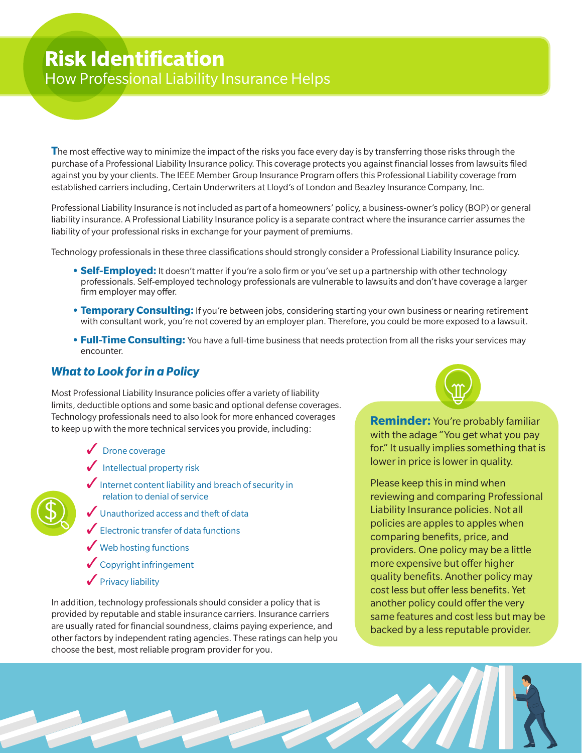## **Risk Identification**  How Professional Liability Insurance Helps

**T**he most effective way to minimize the impact of the risks you face every day is by transferring those risks through the purchase of a Professional Liability Insurance policy. This coverage protects you against financial losses from lawsuits filed against you by your clients. The IEEE Member Group Insurance Program offers this Professional Liability coverage from established carriers including, Certain Underwriters at Lloyd's of London and Beazley Insurance Company, Inc.

Professional Liability Insurance is not included as part of a homeowners' policy, a business-owner's policy (BOP) or general liability insurance. A Professional Liability Insurance policy is a separate contract where the insurance carrier assumes the liability of your professional risks in exchange for your payment of premiums.

Technology professionals in these three classifications should strongly consider a Professional Liability Insurance policy.

- **• Self-Employed:** It doesn't matter if you're a solo firm or you've set up a partnership with other technology professionals. Self-employed technology professionals are vulnerable to lawsuits and don't have coverage a larger firm employer may offer.
- **Temporary Consulting:** If you're between jobs, considering starting your own business or nearing retirement with consultant work, you're not covered by an employer plan. Therefore, you could be more exposed to a lawsuit.
- **Full-Time Consulting:** You have a full-time business that needs protection from all the risks your services may encounter.

**SALLER** 

## *What to Look for in a Policy*

Most Professional Liability Insurance policies offer a variety of liability limits, deductible options and some basic and optional defense coverages. Technology professionals need to also look for more enhanced coverages to keep up with the more technical services you provide, including:

✓ Drone coverage

 $\bigoplus$ 

- $\sqrt{\frac{1}{10}}$  Intellectual property risk
- $\bigvee$  Internet content liability and breach of security in relation to denial of service
- ◆ Unauthorized access and theft of data
- $\blacktriangleright$  Electronic transfer of data functions
- **◆ Web hosting functions**
- ✓Copyright infringement
- $\sqrt{\frac{P}{V}}$ Privacy liability

In addition, technology professionals should consider a policy that is provided by reputable and stable insurance carriers. Insurance carriers are usually rated for financial soundness, claims paying experience, and other factors by independent rating agencies. These ratings can help you choose the best, most reliable program provider for you.

**Reminder:** You're probably familiar with the adage "You get what you pay for." It usually implies something that is lower in price is lower in quality.

Please keep this in mind when reviewing and comparing Professional Liability Insurance policies. Not all policies are apples to apples when comparing benefits, price, and providers. One policy may be a little more expensive but offer higher quality benefits. Another policy may cost less but offer less benefits. Yet another policy could offer the very same features and cost less but may be backed by a less reputable provider.